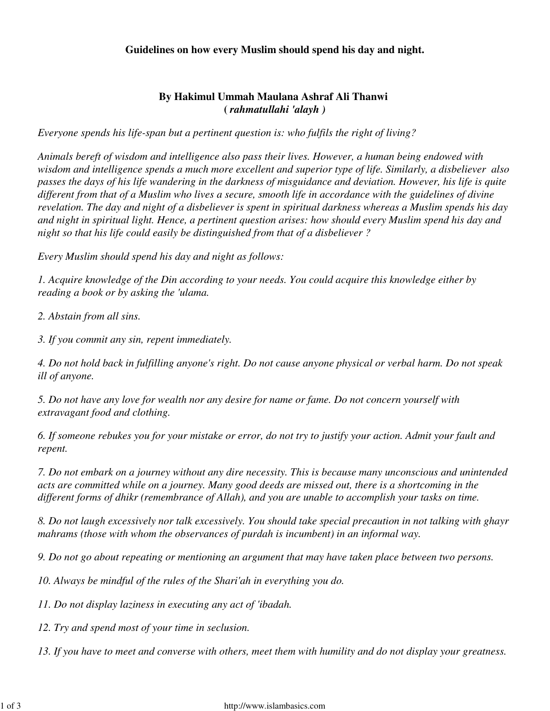## **Guidelines on how every Muslim should spend his day and night.**

## **By Hakimul Ummah Maulana Ashraf Ali Thanwi (** *rahmatullahi 'alayh )*

*Everyone spends his life-span but a pertinent question is: who fulfils the right of living?*

*Animals bereft of wisdom and intelligence also pass their lives. However, a human being endowed with wisdom and intelligence spends a much more excellent and superior type of life. Similarly, a disbeliever also passes the days of his life wandering in the darkness of misguidance and deviation. However, his life is quite different from that of a Muslim who lives a secure, smooth life in accordance with the guidelines of divine revelation. The day and night of a disbeliever is spent in spiritual darkness whereas a Muslim spends his day and night in spiritual light. Hence, a pertinent question arises: how should every Muslim spend his day and night so that his life could easily be distinguished from that of a disbeliever ?*

*Every Muslim should spend his day and night as follows:*

*1. Acquire knowledge of the Din according to your needs. You could acquire this knowledge either by reading a book or by asking the 'ulama.*

*2. Abstain from all sins.*

*3. If you commit any sin, repent immediately.*

*4. Do not hold back in fulfilling anyone's right. Do not cause anyone physical or verbal harm. Do not speak ill of anyone.*

*5. Do not have any love for wealth nor any desire for name or fame. Do not concern yourself with extravagant food and clothing.*

*6. If someone rebukes you for your mistake or error, do not try to justify your action. Admit your fault and repent.*

*7. Do not embark on a journey without any dire necessity. This is because many unconscious and unintended acts are committed while on a journey. Many good deeds are missed out, there is a shortcoming in the different forms of dhikr (remembrance of Allah), and you are unable to accomplish your tasks on time.*

*8. Do not laugh excessively nor talk excessively. You should take special precaution in not talking with ghayr mahrams (those with whom the observances of purdah is incumbent) in an informal way.*

*9. Do not go about repeating or mentioning an argument that may have taken place between two persons.*

*10. Always be mindful of the rules of the Shari'ah in everything you do.* 

*11. Do not display laziness in executing any act of 'ibadah.*

*12. Try and spend most of your time in seclusion.*

*13. If you have to meet and converse with others, meet them with humility and do not display your greatness.*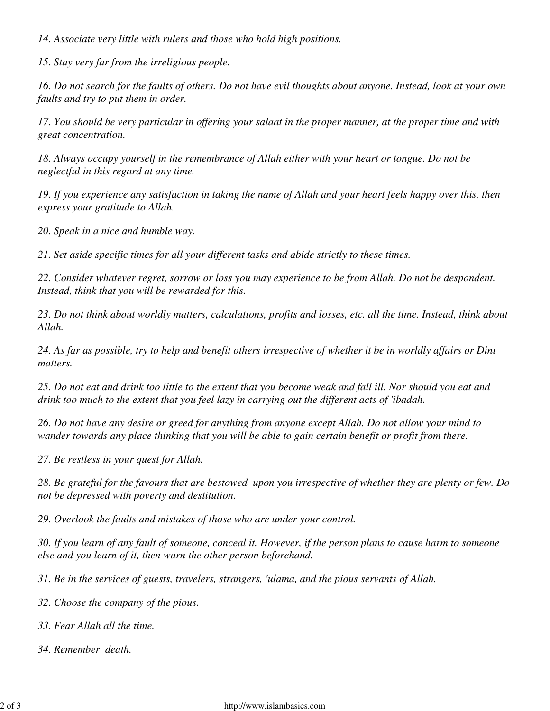*14. Associate very little with rulers and those who hold high positions.*

*15. Stay very far from the irreligious people.*

*16. Do not search for the faults of others. Do not have evil thoughts about anyone. Instead, look at your own faults and try to put them in order.*

*17. You should be very particular in offering your salaat in the proper manner, at the proper time and with great concentration.*

*18. Always occupy yourself in the remembrance of Allah either with your heart or tongue. Do not be neglectful in this regard at any time.*

*19. If you experience any satisfaction in taking the name of Allah and your heart feels happy over this, then express your gratitude to Allah.*

*20. Speak in a nice and humble way.*

*21. Set aside specific times for all your different tasks and abide strictly to these times.*

*22. Consider whatever regret, sorrow or loss you may experience to be from Allah. Do not be despondent. Instead, think that you will be rewarded for this.*

*23. Do not think about worldly matters, calculations, profits and losses, etc. all the time. Instead, think about Allah.*

*24. As far as possible, try to help and benefit others irrespective of whether it be in worldly affairs or Dini matters.*

*25. Do not eat and drink too little to the extent that you become weak and fall ill. Nor should you eat and drink too much to the extent that you feel lazy in carrying out the different acts of 'ibadah.*

*26. Do not have any desire or greed for anything from anyone except Allah. Do not allow your mind to wander towards any place thinking that you will be able to gain certain benefit or profit from there.*

*27. Be restless in your quest for Allah.*

*28. Be grateful for the favours that are bestowed upon you irrespective of whether they are plenty or few. Do not be depressed with poverty and destitution.*

*29. Overlook the faults and mistakes of those who are under your control.*

*30. If you learn of any fault of someone, conceal it. However, if the person plans to cause harm to someone else and you learn of it, then warn the other person beforehand.*

*31. Be in the services of guests, travelers, strangers, 'ulama, and the pious servants of Allah.*

*32. Choose the company of the pious.*

*33. Fear Allah all the time.*

*34. Remember death.*